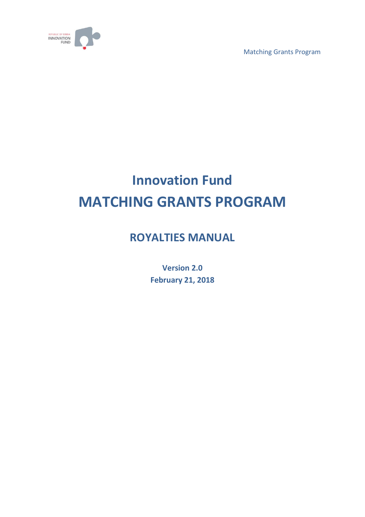

Matching Grants Program

# **Innovation Fund MATCHING GRANTS PROGRAM**

## **ROYALTIES MANUAL**

**Version 2.0 February 21, 2018**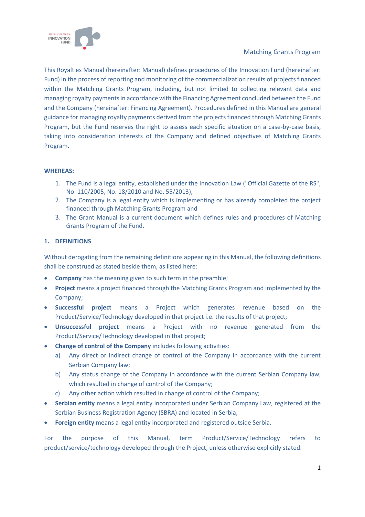

#### Matching Grants Program

This Royalties Manual (hereinafter: Manual) defines procedures of the Innovation Fund (hereinafter: Fund) in the process of reporting and monitoring of the commercialization results of projects financed within the Matching Grants Program, including, but not limited to collecting relevant data and managing royalty payments in accordance with the Financing Agreement concluded between the Fund and the Company (hereinafter: Financing Agreement). Procedures defined in this Manual are general guidance for managing royalty payments derived from the projects financed through Matching Grants Program, but the Fund reserves the right to assess each specific situation on a case-by-case basis, taking into consideration interests of the Company and defined objectives of Matching Grants Program.

#### **WHEREAS:**

- 1. The Fund is a legal entity, established under the Innovation Law ("Official Gazette of the RS", No. 110/2005, No. 18/2010 and No. 55/2013),
- 2. The Company is a legal entity which is implementing or has already completed the project financed through Matching Grants Program and
- 3. The Grant Manual is a current document which defines rules and procedures of Matching Grants Program of the Fund.

#### **1. DEFINITIONS**

Without derogating from the remaining definitions appearing in this Manual, the following definitions shall be construed as stated beside them, as listed here:

- **Company** has the meaning given to such term in the preamble;
- **Project** means a project financed through the Matching Grants Program and implemented by the Company;
- **Successful project** means a Project which generates revenue based on the Product/Service/Technology developed in that project i.e. the results of that project;
- **Unsuccessful project** means a Project with no revenue generated from the Product/Service/Technology developed in that project;
- **Change of control of the Company** includes following activities:
	- a) Any direct or indirect change of control of the Company in accordance with the current Serbian Company law;
	- b) Any status change of the Company in accordance with the current Serbian Company law, which resulted in change of control of the Company;
	- c) Any other action which resulted in change of control of the Company;
- **Serbian entity** means a legal entity incorporated under Serbian Company Law, registered at the Serbian Business Registration Agency (SBRA) and located in Serbia;
- **Foreign entity** means a legal entity incorporated and registered outside Serbia.

For the purpose of this Manual, term Product/Service/Technology refers to product/service/technology developed through the Project, unless otherwise explicitly stated.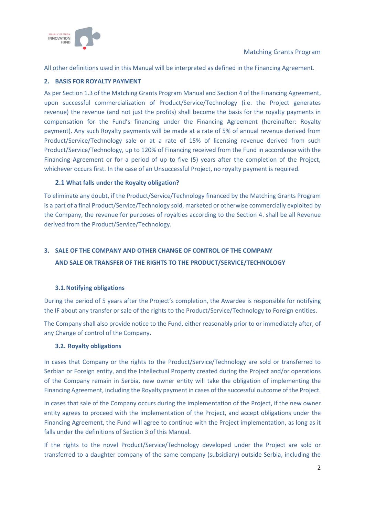

All other definitions used in this Manual will be interpreted as defined in the Financing Agreement.

#### **2. BASIS FOR ROYALTY PAYMENT**

As per Section 1.3 of the Matching Grants Program Manual and Section 4 of the Financing Agreement, upon successful commercialization of Product/Service/Technology (i.e. the Project generates revenue) the revenue (and not just the profits) shall become the basis for the royalty payments in compensation for the Fund's financing under the Financing Agreement (hereinafter: Royalty payment). Any such Royalty payments will be made at a rate of 5% of annual revenue derived from Product/Service/Technology sale or at a rate of 15% of licensing revenue derived from such Product/Service/Technology, up to 120% of Financing received from the Fund in accordance with the Financing Agreement or for a period of up to five (5) years after the completion of the Project, whichever occurs first. In the case of an Unsuccessful Project, no royalty payment is required.

#### **2.1 What falls under the Royalty obligation?**

To eliminate any doubt, if the Product/Service/Technology financed by the Matching Grants Program is a part of a final Product/Service/Technology sold, marketed or otherwise commercially exploited by the Company, the revenue for purposes of royalties according to the Section 4. shall be all Revenue derived from the Product/Service/Technology.

### **3. SALE OF THE COMPANY AND OTHER CHANGE OF CONTROL OF THE COMPANY AND SALE OR TRANSFER OF THE RIGHTS TO THE PRODUCT/SERVICE/TECHNOLOGY**

#### **3.1.Notifying obligations**

During the period of 5 years after the Project's completion, the Awardee is responsible for notifying the IF about any transfer or sale of the rights to the Product/Service/Technology to Foreign entities.

The Company shall also provide notice to the Fund, either reasonably prior to or immediately after, of any Change of control of the Company.

#### **3.2. Royalty obligations**

In cases that Company or the rights to the Product/Service/Technology are sold or transferred to Serbian or Foreign entity, and the Intellectual Property created during the Project and/or operations of the Company remain in Serbia, new owner entity will take the obligation of implementing the Financing Agreement, including the Royalty payment in cases of the successful outcome of the Project.

In cases that sale of the Company occurs during the implementation of the Project, if the new owner entity agrees to proceed with the implementation of the Project, and accept obligations under the Financing Agreement, the Fund will agree to continue with the Project implementation, as long as it falls under the definitions of Section 3 of this Manual.

If the rights to the novel Product/Service/Technology developed under the Project are sold or transferred to a daughter company of the same company (subsidiary) outside Serbia, including the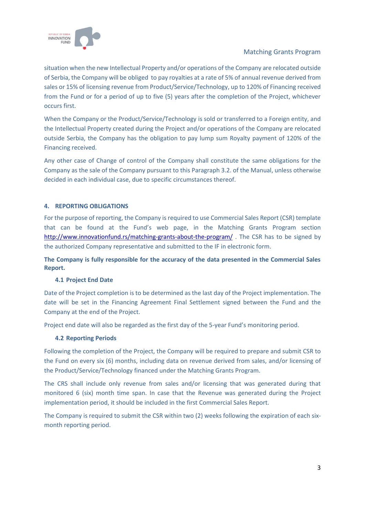

#### Matching Grants Program

situation when the new Intellectual Property and/or operations of the Company are relocated outside of Serbia, the Company will be obliged to pay royalties at a rate of 5% of annual revenue derived from sales or 15% of licensing revenue from Product/Service/Technology, up to 120% of Financing received from the Fund or for a period of up to five (5) years after the completion of the Project, whichever occurs first.

When the Company or the Product/Service/Technology is sold or transferred to a Foreign entity, and the Intellectual Property created during the Project and/or operations of the Company are relocated outside Serbia, the Company has the obligation to pay lump sum Royalty payment of 120% of the Financing received.

Any other case of Change of control of the Company shall constitute the same obligations for the Company as the sale of the Company pursuant to this Paragraph 3.2. of the Manual, unless otherwise decided in each individual case, due to specific circumstances thereof.

#### **4. REPORTING OBLIGATIONS**

For the purpose of reporting, the Company is required to use Commercial Sales Report (CSR) template that can be found at the Fund's web page, in the Matching Grants Program section <http://www.innovationfund.rs/matching-grants-about-the-program/> . The CSR has to be signed by the authorized Company representative and submitted to the IF in electronic form.

**The Company is fully responsible for the accuracy of the data presented in the Commercial Sales Report.** 

#### **4.1 Project End Date**

Date of the Project completion is to be determined as the last day of the Project implementation. The date will be set in the Financing Agreement Final Settlement signed between the Fund and the Company at the end of the Project.

Project end date will also be regarded as the first day of the 5-year Fund's monitoring period.

#### **4.2 Reporting Periods**

Following the completion of the Project, the Company will be required to prepare and submit CSR to the Fund on every six (6) months, including data on revenue derived from sales, and/or licensing of the Product/Service/Technology financed under the Matching Grants Program.

The CRS shall include only revenue from sales and/or licensing that was generated during that monitored 6 (six) month time span. In case that the Revenue was generated during the Project implementation period, it should be included in the first Commercial Sales Report.

The Company is required to submit the CSR within two (2) weeks following the expiration of each sixmonth reporting period.